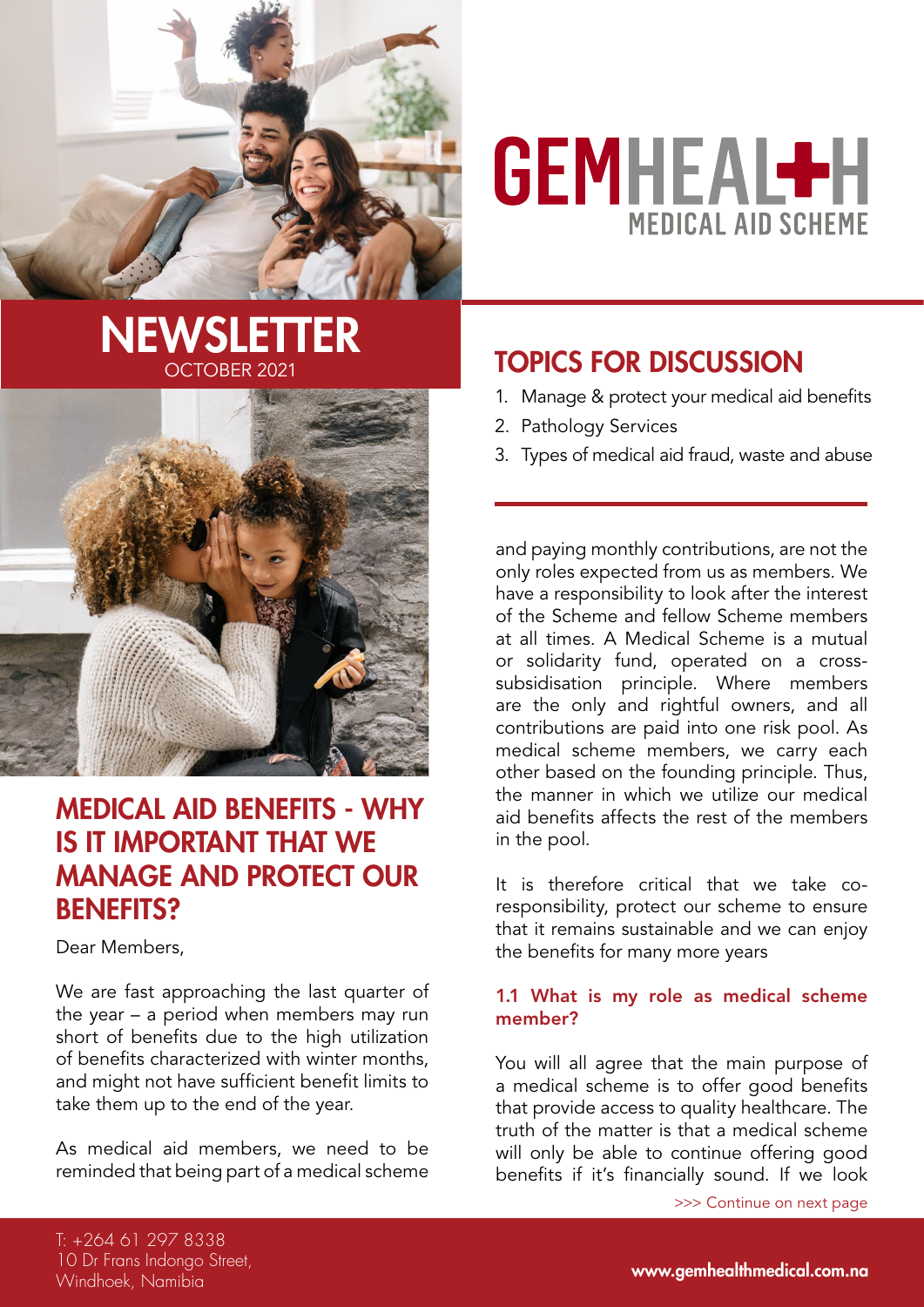

# **GEMHEAL+H MEDICAL AID SCHEME**

### **NEWSLETTER** TOPICS FOR DISCUSSION OCTOBER 2021



### Medical Aid Benefits - Why is it important that we manage and protect our **BENEFITS?**

Dear Members,

We are fast approaching the last quarter of the year – a period when members may run short of benefits due to the high utilization of benefits characterized with winter months, and might not have sufficient benefit limits to take them up to the end of the year.

As medical aid members, we need to be reminded that being part of a medical scheme

- 1. Manage & protect your medical aid benefits
- 2. Pathology Services
- 3. Types of medical aid fraud, waste and abuse

and paying monthly contributions, are not the only roles expected from us as members. We have a responsibility to look after the interest of the Scheme and fellow Scheme members at all times. A Medical Scheme is a mutual or solidarity fund, operated on a crosssubsidisation principle. Where members are the only and rightful owners, and all contributions are paid into one risk pool. As medical scheme members, we carry each other based on the founding principle. Thus, the manner in which we utilize our medical aid benefits affects the rest of the members in the pool.

It is therefore critical that we take coresponsibility, protect our scheme to ensure that it remains sustainable and we can enjoy the benefits for many more years

### 1.1 What is my role as medical scheme member?

You will all agree that the main purpose of a medical scheme is to offer good benefits that provide access to quality healthcare. The truth of the matter is that a medical scheme will only be able to continue offering good benefits if it's financially sound. If we look

>>> Continue on next page

T: +264 61 297 8338 10 Dr Frans Indongo Street, Windhoek, Namibia

www.gemhealthmedical.com.na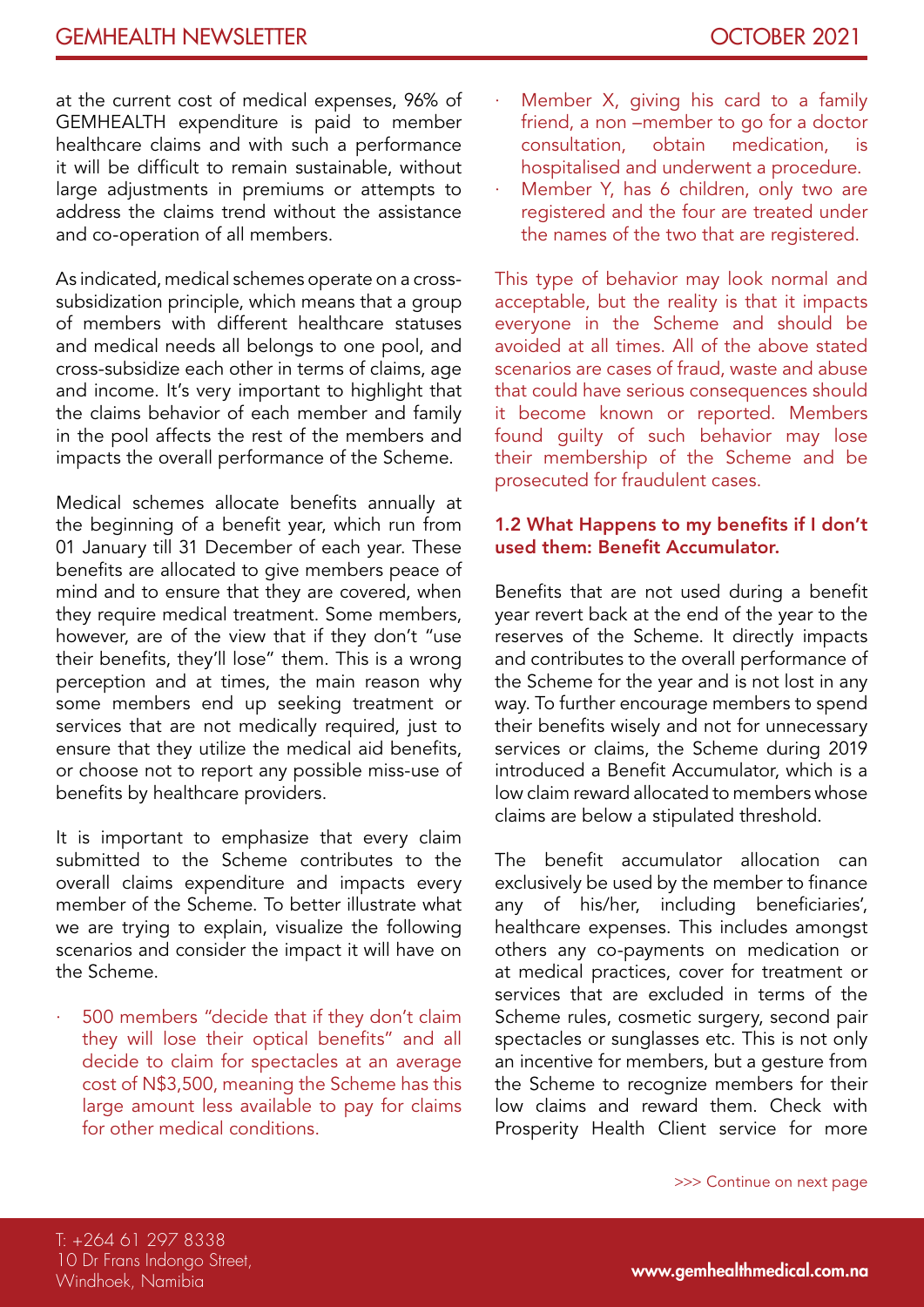at the current cost of medical expenses, 96% of GEMHEALTH expenditure is paid to member healthcare claims and with such a performance it will be difficult to remain sustainable, without large adjustments in premiums or attempts to address the claims trend without the assistance and co-operation of all members.

As indicated, medical schemes operate on a crosssubsidization principle, which means that a group of members with different healthcare statuses and medical needs all belongs to one pool, and cross-subsidize each other in terms of claims, age and income. It's very important to highlight that the claims behavior of each member and family in the pool affects the rest of the members and impacts the overall performance of the Scheme.

Medical schemes allocate benefits annually at the beginning of a benefit year, which run from 01 January till 31 December of each year. These benefits are allocated to give members peace of mind and to ensure that they are covered, when they require medical treatment. Some members, however, are of the view that if they don't "use their benefits, they'll lose" them. This is a wrong perception and at times, the main reason why some members end up seeking treatment or services that are not medically required, just to ensure that they utilize the medical aid benefits, or choose not to report any possible miss-use of benefits by healthcare providers.

It is important to emphasize that every claim submitted to the Scheme contributes to the overall claims expenditure and impacts every member of the Scheme. To better illustrate what we are trying to explain, visualize the following scenarios and consider the impact it will have on the Scheme.

500 members "decide that if they don't claim they will lose their optical benefits" and all decide to claim for spectacles at an average cost of N\$3,500, meaning the Scheme has this large amount less available to pay for claims for other medical conditions.

- Member X, giving his card to a family friend, a non –member to go for a doctor consultation, obtain medication, is hospitalised and underwent a procedure.
- Member Y, has 6 children, only two are registered and the four are treated under the names of the two that are registered.

This type of behavior may look normal and acceptable, but the reality is that it impacts everyone in the Scheme and should be avoided at all times. All of the above stated scenarios are cases of fraud, waste and abuse that could have serious consequences should it become known or reported. Members found guilty of such behavior may lose their membership of the Scheme and be prosecuted for fraudulent cases.

### 1.2 What Happens to my benefits if I don't used them: Benefit Accumulator.

Benefits that are not used during a benefit year revert back at the end of the year to the reserves of the Scheme. It directly impacts and contributes to the overall performance of the Scheme for the year and is not lost in any way. To further encourage members to spend their benefits wisely and not for unnecessary services or claims, the Scheme during 2019 introduced a Benefit Accumulator, which is a low claim reward allocated to members whose claims are below a stipulated threshold.

The benefit accumulator allocation can exclusively be used by the member to finance any of his/her, including beneficiaries', healthcare expenses. This includes amongst others any co-payments on medication or at medical practices, cover for treatment or services that are excluded in terms of the Scheme rules, cosmetic surgery, second pair spectacles or sunglasses etc. This is not only an incentive for members, but a gesture from the Scheme to recognize members for their low claims and reward them. Check with Prosperity Health Client service for more

>>> Continue on next page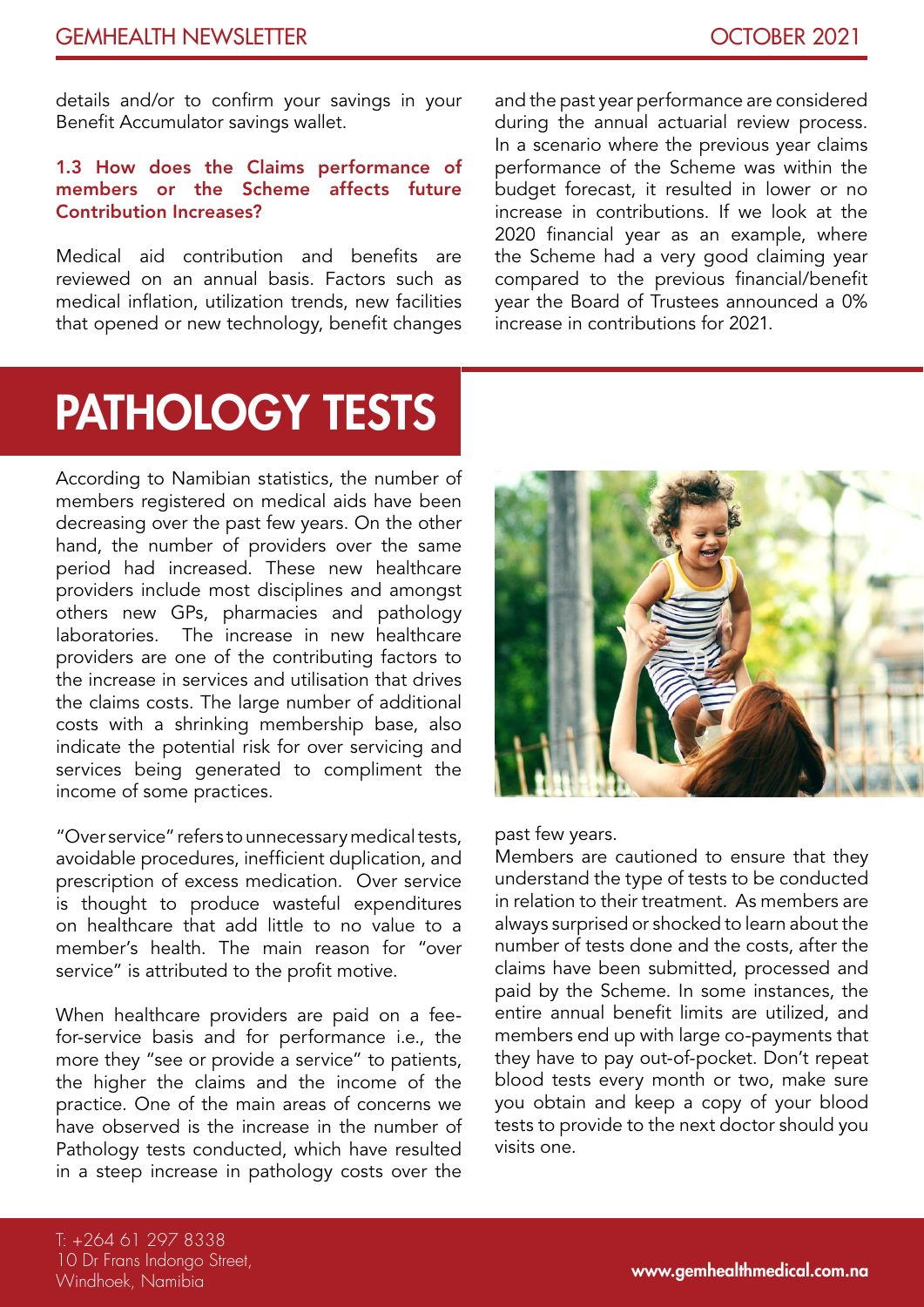details and/or to confirm your savings in your Benefit Accumulator savings wallet.

### 1.3 How does the Claims performance of members or the Scheme affects future Contribution Increases?

Medical aid contribution and benefits are reviewed on an annual basis. Factors such as medical inflation, utilization trends, new facilities that opened or new technology, benefit changes

and the past year performance are considered during the annual actuarial review process. In a scenario where the previous year claims performance of the Scheme was within the budget forecast, it resulted in lower or no increase in contributions. If we look at the 2020 financial year as an example, where the Scheme had a very good claiming year compared to the previous financial/benefit year the Board of Trustees announced a 0% increase in contributions for 2021.

# Pathology Tests

According to Namibian statistics, the number of members registered on medical aids have been decreasing over the past few years. On the other hand, the number of providers over the same period had increased. These new healthcare providers include most disciplines and amongst others new GPs, pharmacies and pathology laboratories. The increase in new healthcare providers are one of the contributing factors to the increase in services and utilisation that drives the claims costs. The large number of additional costs with a shrinking membership base, also indicate the potential risk for over servicing and services being generated to compliment the income of some practices.

"Over service" refers to unnecessary medical tests, avoidable procedures, inefficient duplication, and prescription of excess medication. Over service is thought to produce wasteful expenditures on healthcare that add little to no value to a member's health. The main reason for "over service" is attributed to the profit motive.

When healthcare providers are paid on a feefor-service basis and for performance i.e., the more they "see or provide a service" to patients, the higher the claims and the income of the practice. One of the main areas of concerns we have observed is the increase in the number of Pathology tests conducted, which have resulted in a steep increase in pathology costs over the



past few years.

Members are cautioned to ensure that they understand the type of tests to be conducted in relation to their treatment. As members are always surprised or shocked to learn about the number of tests done and the costs, after the claims have been submitted, processed and paid by the Scheme. In some instances, the entire annual benefit limits are utilized, and members end up with large co-payments that they have to pay out-of-pocket. Don't repeat blood tests every month or two, make sure you obtain and keep a copy of your blood tests to provide to the next doctor should you visits one.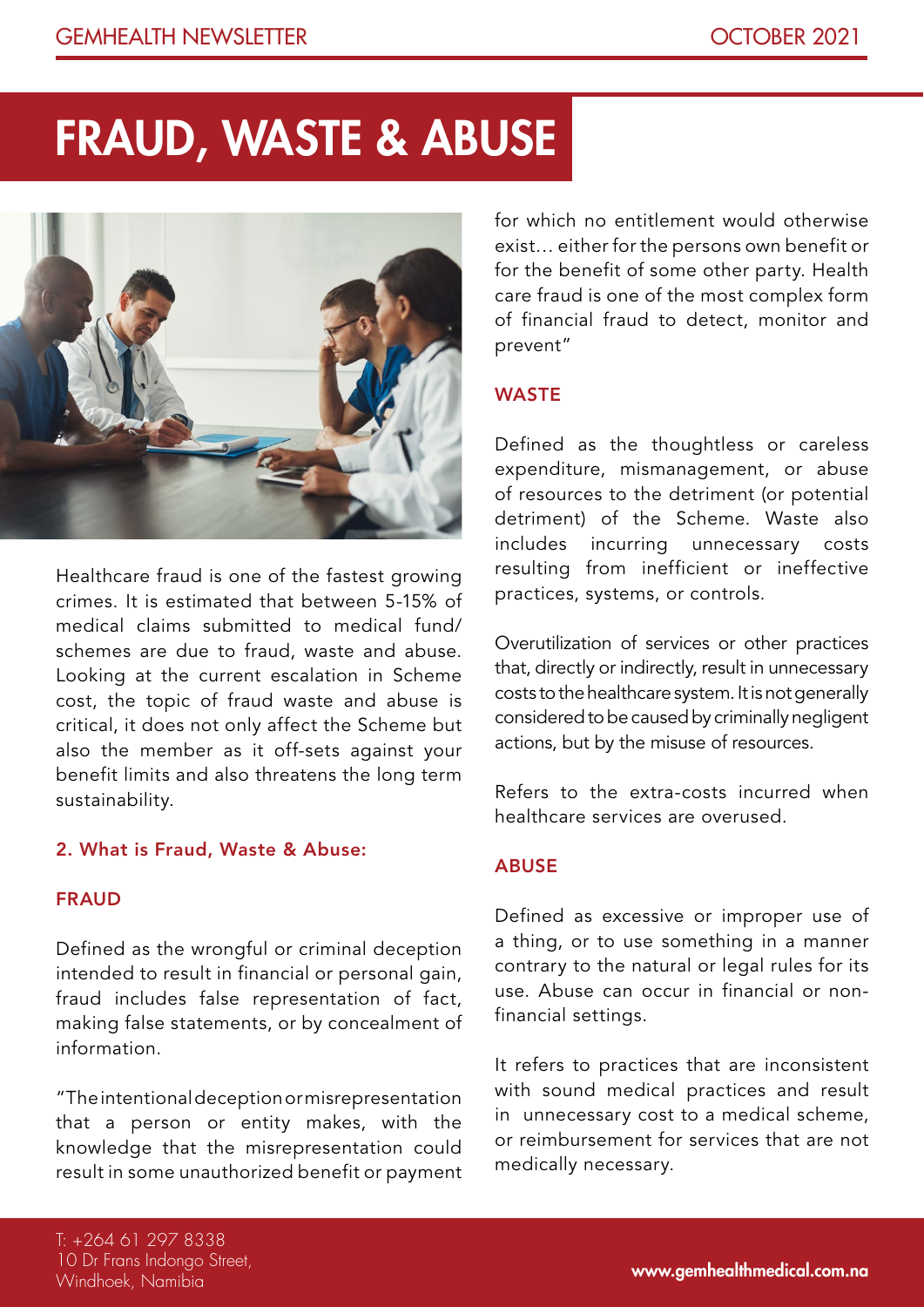### Fraud, Waste & Abuse



Healthcare fraud is one of the fastest growing crimes. It is estimated that between 5-15% of medical claims submitted to medical fund/ schemes are due to fraud, waste and abuse. Looking at the current escalation in Scheme cost, the topic of fraud waste and abuse is critical, it does not only affect the Scheme but also the member as it off-sets against your benefit limits and also threatens the long term sustainability.

### 2. What is Fraud, Waste & Abuse:

#### FRAUD

Defined as the wrongful or criminal deception intended to result in financial or personal gain, fraud includes false representation of fact, making false statements, or by concealment of information.

"The intentional deception or misrepresentation that a person or entity makes, with the knowledge that the misrepresentation could result in some unauthorized benefit or payment

for which no entitlement would otherwise exist… either for the persons own benefit or for the benefit of some other party. Health care fraud is one of the most complex form of financial fraud to detect, monitor and prevent"

#### **WASTE**

Defined as the thoughtless or careless expenditure, mismanagement, or abuse of resources to the detriment (or potential detriment) of the Scheme. Waste also includes incurring unnecessary costs resulting from inefficient or ineffective practices, systems, or controls.

Overutilization of services or other practices that, directly or indirectly, result in unnecessary costs to the healthcare system. It is not generally considered to be caused by criminally negligent actions, but by the misuse of resources.

Refers to the extra-costs incurred when healthcare services are overused.

### ABUSE

Defined as excessive or improper use of a thing, or to use something in a manner contrary to the natural or legal rules for its use. Abuse can occur in financial or nonfinancial settings.

It refers to practices that are inconsistent with sound medical practices and result in unnecessary cost to a medical scheme, or reimbursement for services that are not medically necessary.